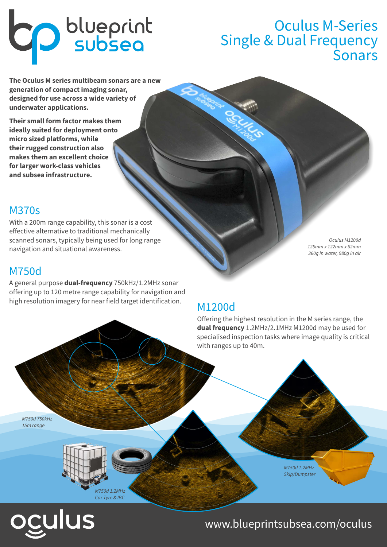# **CD** blueprint

# Oculus M-Series Single & Dual Frequency Sonars

**The Oculus M series multibeam sonars are a new generation of compact imaging sonar, designed for use across a wide variety of underwater applications.** 

**Their small form factor makes them ideally suited for deployment onto micro sized platforms, while their rugged construction also makes them an excellent choice for larger work-class vehicles and subsea infrastructure.**

#### M370s

With a 200m range capability, this sonar is a cost effective alternative to traditional mechanically scanned sonars, typically being used for long range navigation and situational awareness.

#### M750d

A general purpose **dual-frequency** 750kHz/1.2MHz sonar offering up to 120 metre range capability for navigation and high resolution imagery for near field target identification.

Oculus M1200d 125mm x 122mm x 62mm 360g in water, 980g in air

### M1200d

Offering the highest resolution in the M series range, the **dual frequency** 1.2MHz/2.1MHz M1200d may be used for specialised inspection tasks where image quality is critical with ranges up to 40m.

M750d 750kHz 15m range



M750d 1.2MHz Skip/Dumpster

# ulus

## www.blueprintsubsea.com/oculus